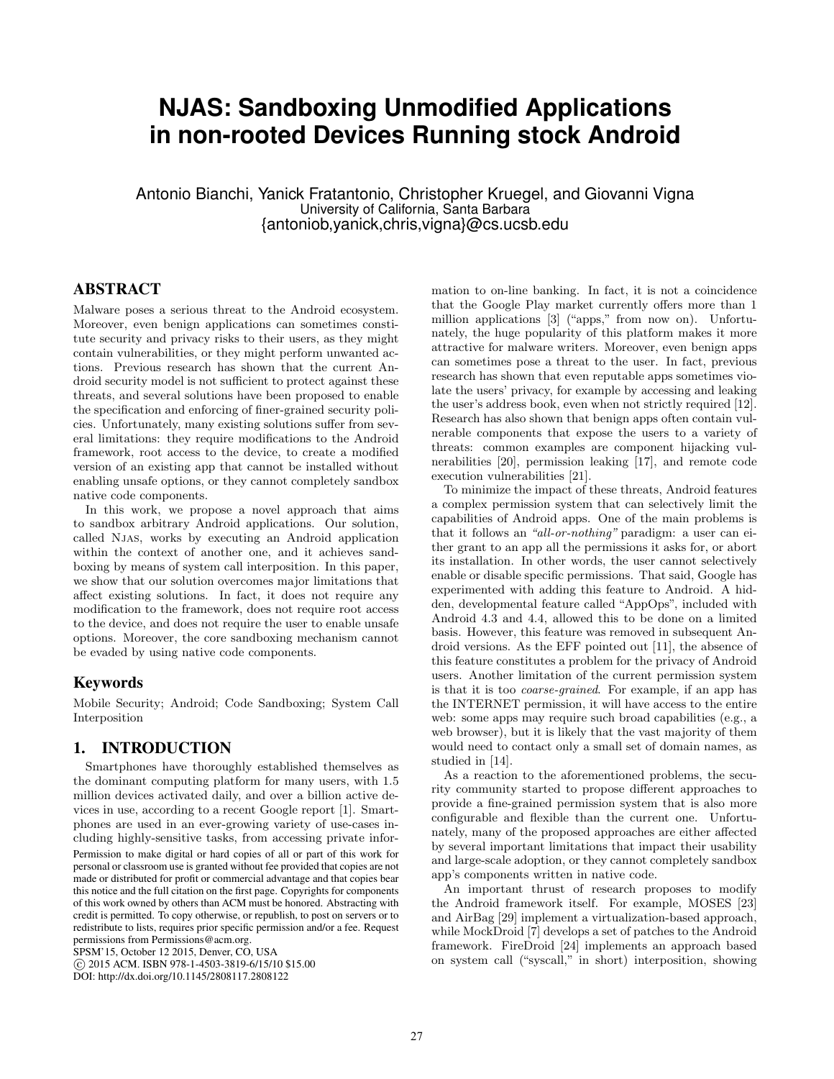# **NJAS: Sandboxing Unmodified Applications in non-rooted Devices Running stock Android**

Antonio Bianchi, Yanick Fratantonio, Christopher Kruegel, and Giovanni Vigna University of California, Santa Barbara {antoniob,yanick,chris,vigna}@cs.ucsb.edu

# ABSTRACT

Malware poses a serious threat to the Android ecosystem. Moreover, even benign applications can sometimes constitute security and privacy risks to their users, as they might contain vulnerabilities, or they might perform unwanted actions. Previous research has shown that the current Android security model is not sufficient to protect against these threats, and several solutions have been proposed to enable the specification and enforcing of finer-grained security policies. Unfortunately, many existing solutions suffer from several limitations: they require modifications to the Android framework, root access to the device, to create a modified version of an existing app that cannot be installed without enabling unsafe options, or they cannot completely sandbox native code components.

In this work, we propose a novel approach that aims to sandbox arbitrary Android applications. Our solution, called Njas, works by executing an Android application within the context of another one, and it achieves sandboxing by means of system call interposition. In this paper, we show that our solution overcomes major limitations that affect existing solutions. In fact, it does not require any modification to the framework, does not require root access to the device, and does not require the user to enable unsafe options. Moreover, the core sandboxing mechanism cannot be evaded by using native code components.

# Keywords

Mobile Security; Android; Code Sandboxing; System Call Interposition

### 1. INTRODUCTION

Smartphones have thoroughly established themselves as the dominant computing platform for many users, with 1.5 million devices activated daily, and over a billion active devices in use, according to a recent Google report [1]. Smartphones are used in an ever-growing variety of use-cases including highly-sensitive tasks, from accessing private infor-

Permission to make digital or hard copies of all or part of this work for personal or classroom use is granted without fee provided that copies are not made or distributed for profit or commercial advantage and that copies bear this notice and the full citation on the first page. Copyrights for components of this work owned by others than ACM must be honored. Abstracting with credit is permitted. To copy otherwise, or republish, to post on servers or to redistribute to lists, requires prior specific permission and/or a fee. Request permissions from Permissions@acm.org.

SPSM'15, October 12 2015, Denver, CO, USA c 2015 ACM. ISBN 978-1-4503-3819-6/15/10 \$15.00

DOI: http://dx.doi.org/10.1145/2808117.2808122

mation to on-line banking. In fact, it is not a coincidence that the Google Play market currently offers more than 1 million applications [3] ("apps," from now on). Unfortunately, the huge popularity of this platform makes it more attractive for malware writers. Moreover, even benign apps can sometimes pose a threat to the user. In fact, previous research has shown that even reputable apps sometimes violate the users' privacy, for example by accessing and leaking the user's address book, even when not strictly required [12]. Research has also shown that benign apps often contain vulnerable components that expose the users to a variety of threats: common examples are component hijacking vulnerabilities [20], permission leaking [17], and remote code execution vulnerabilities [21].

To minimize the impact of these threats, Android features a complex permission system that can selectively limit the capabilities of Android apps. One of the main problems is that it follows an "all-or-nothing" paradigm: a user can either grant to an app all the permissions it asks for, or abort its installation. In other words, the user cannot selectively enable or disable specific permissions. That said, Google has experimented with adding this feature to Android. A hidden, developmental feature called "AppOps", included with Android 4.3 and 4.4, allowed this to be done on a limited basis. However, this feature was removed in subsequent Android versions. As the EFF pointed out [11], the absence of this feature constitutes a problem for the privacy of Android users. Another limitation of the current permission system is that it is too coarse-grained. For example, if an app has the INTERNET permission, it will have access to the entire web: some apps may require such broad capabilities (e.g., a web browser), but it is likely that the vast majority of them would need to contact only a small set of domain names, as studied in [14].

As a reaction to the aforementioned problems, the security community started to propose different approaches to provide a fine-grained permission system that is also more configurable and flexible than the current one. Unfortunately, many of the proposed approaches are either affected by several important limitations that impact their usability and large-scale adoption, or they cannot completely sandbox app's components written in native code.

An important thrust of research proposes to modify the Android framework itself. For example, MOSES [23] and AirBag [29] implement a virtualization-based approach, while MockDroid [7] develops a set of patches to the Android framework. FireDroid [24] implements an approach based on system call ("syscall," in short) interposition, showing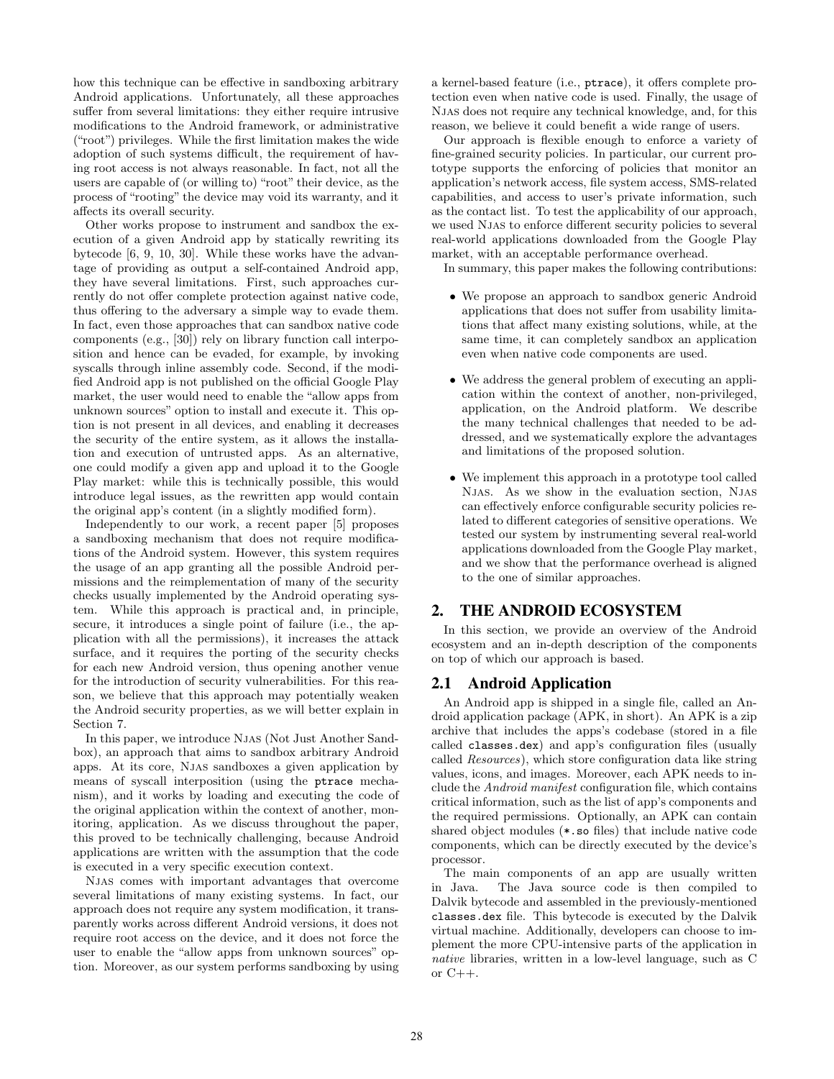how this technique can be effective in sandboxing arbitrary Android applications. Unfortunately, all these approaches suffer from several limitations: they either require intrusive modifications to the Android framework, or administrative ("root") privileges. While the first limitation makes the wide adoption of such systems difficult, the requirement of having root access is not always reasonable. In fact, not all the users are capable of (or willing to) "root" their device, as the process of "rooting" the device may void its warranty, and it affects its overall security.

Other works propose to instrument and sandbox the execution of a given Android app by statically rewriting its bytecode [6, 9, 10, 30]. While these works have the advantage of providing as output a self-contained Android app, they have several limitations. First, such approaches currently do not offer complete protection against native code, thus offering to the adversary a simple way to evade them. In fact, even those approaches that can sandbox native code components (e.g., [30]) rely on library function call interposition and hence can be evaded, for example, by invoking syscalls through inline assembly code. Second, if the modified Android app is not published on the official Google Play market, the user would need to enable the "allow apps from unknown sources" option to install and execute it. This option is not present in all devices, and enabling it decreases the security of the entire system, as it allows the installation and execution of untrusted apps. As an alternative, one could modify a given app and upload it to the Google Play market: while this is technically possible, this would introduce legal issues, as the rewritten app would contain the original app's content (in a slightly modified form).

Independently to our work, a recent paper [5] proposes a sandboxing mechanism that does not require modifications of the Android system. However, this system requires the usage of an app granting all the possible Android permissions and the reimplementation of many of the security checks usually implemented by the Android operating system. While this approach is practical and, in principle, secure, it introduces a single point of failure (i.e., the application with all the permissions), it increases the attack surface, and it requires the porting of the security checks for each new Android version, thus opening another venue for the introduction of security vulnerabilities. For this reason, we believe that this approach may potentially weaken the Android security properties, as we will better explain in Section 7.

In this paper, we introduce Njas (Not Just Another Sandbox), an approach that aims to sandbox arbitrary Android apps. At its core, Njas sandboxes a given application by means of syscall interposition (using the ptrace mechanism), and it works by loading and executing the code of the original application within the context of another, monitoring, application. As we discuss throughout the paper, this proved to be technically challenging, because Android applications are written with the assumption that the code is executed in a very specific execution context.

Njas comes with important advantages that overcome several limitations of many existing systems. In fact, our approach does not require any system modification, it transparently works across different Android versions, it does not require root access on the device, and it does not force the user to enable the "allow apps from unknown sources" option. Moreover, as our system performs sandboxing by using a kernel-based feature (i.e., ptrace), it offers complete protection even when native code is used. Finally, the usage of Njas does not require any technical knowledge, and, for this reason, we believe it could benefit a wide range of users.

Our approach is flexible enough to enforce a variety of fine-grained security policies. In particular, our current prototype supports the enforcing of policies that monitor an application's network access, file system access, SMS-related capabilities, and access to user's private information, such as the contact list. To test the applicability of our approach, we used NJAS to enforce different security policies to several real-world applications downloaded from the Google Play market, with an acceptable performance overhead.

In summary, this paper makes the following contributions:

- We propose an approach to sandbox generic Android applications that does not suffer from usability limitations that affect many existing solutions, while, at the same time, it can completely sandbox an application even when native code components are used.
- We address the general problem of executing an application within the context of another, non-privileged, application, on the Android platform. We describe the many technical challenges that needed to be addressed, and we systematically explore the advantages and limitations of the proposed solution.
- We implement this approach in a prototype tool called Njas. As we show in the evaluation section, Njas can effectively enforce configurable security policies related to different categories of sensitive operations. We tested our system by instrumenting several real-world applications downloaded from the Google Play market, and we show that the performance overhead is aligned to the one of similar approaches.

# 2. THE ANDROID ECOSYSTEM

In this section, we provide an overview of the Android ecosystem and an in-depth description of the components on top of which our approach is based.

### 2.1 Android Application

An Android app is shipped in a single file, called an Android application package (APK, in short). An APK is a zip archive that includes the apps's codebase (stored in a file called classes.dex) and app's configuration files (usually called Resources), which store configuration data like string values, icons, and images. Moreover, each APK needs to include the Android manifest configuration file, which contains critical information, such as the list of app's components and the required permissions. Optionally, an APK can contain shared object modules (\*.so files) that include native code components, which can be directly executed by the device's processor.

The main components of an app are usually written in Java. The Java source code is then compiled to Dalvik bytecode and assembled in the previously-mentioned classes.dex file. This bytecode is executed by the Dalvik virtual machine. Additionally, developers can choose to implement the more CPU-intensive parts of the application in native libraries, written in a low-level language, such as C or  $C_{++}$ .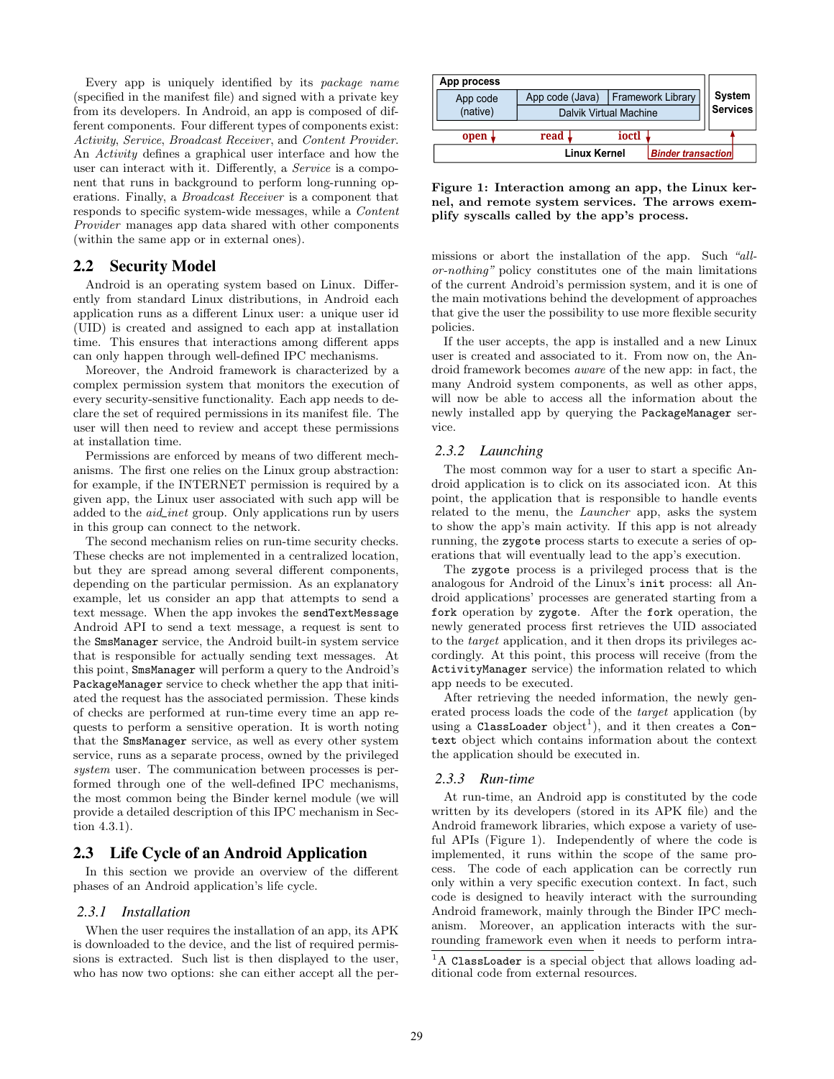Every app is uniquely identified by its package name (specified in the manifest file) and signed with a private key from its developers. In Android, an app is composed of different components. Four different types of components exist: Activity, Service, Broadcast Receiver, and Content Provider. An Activity defines a graphical user interface and how the user can interact with it. Differently, a Service is a component that runs in background to perform long-running operations. Finally, a Broadcast Receiver is a component that responds to specific system-wide messages, while a Content Provider manages app data shared with other components (within the same app or in external ones).

#### 2.2 Security Model

Android is an operating system based on Linux. Differently from standard Linux distributions, in Android each application runs as a different Linux user: a unique user id (UID) is created and assigned to each app at installation time. This ensures that interactions among different apps can only happen through well-defined IPC mechanisms.

Moreover, the Android framework is characterized by a complex permission system that monitors the execution of every security-sensitive functionality. Each app needs to declare the set of required permissions in its manifest file. The user will then need to review and accept these permissions at installation time.

Permissions are enforced by means of two different mechanisms. The first one relies on the Linux group abstraction: for example, if the INTERNET permission is required by a given app, the Linux user associated with such app will be added to the *aid inet* group. Only applications run by users in this group can connect to the network.

The second mechanism relies on run-time security checks. These checks are not implemented in a centralized location, but they are spread among several different components, depending on the particular permission. As an explanatory example, let us consider an app that attempts to send a text message. When the app invokes the sendTextMessage Android API to send a text message, a request is sent to the SmsManager service, the Android built-in system service that is responsible for actually sending text messages. At this point, SmsManager will perform a query to the Android's PackageManager service to check whether the app that initiated the request has the associated permission. These kinds of checks are performed at run-time every time an app requests to perform a sensitive operation. It is worth noting that the SmsManager service, as well as every other system service, runs as a separate process, owned by the privileged system user. The communication between processes is performed through one of the well-defined IPC mechanisms, the most common being the Binder kernel module (we will provide a detailed description of this IPC mechanism in Section 4.3.1).

### 2.3 Life Cycle of an Android Application

In this section we provide an overview of the different phases of an Android application's life cycle.

#### *2.3.1 Installation*

When the user requires the installation of an app, its APK is downloaded to the device, and the list of required permissions is extracted. Such list is then displayed to the user, who has now two options: she can either accept all the per-

| App process |                        |       |                           |                           |
|-------------|------------------------|-------|---------------------------|---------------------------|
| App code    | App code (Java)        |       | Framework Library         | System<br><b>Services</b> |
| (native)    | Dalvik Virtual Machine |       |                           |                           |
|             |                        |       |                           |                           |
| open {      | read                   | ioctl |                           |                           |
|             | <b>Linux Kernel</b>    |       | <b>Binder transaction</b> |                           |

Figure 1: Interaction among an app, the Linux kernel, and remote system services. The arrows exemplify syscalls called by the app's process.

missions or abort the installation of the app. Such "allor-nothing" policy constitutes one of the main limitations of the current Android's permission system, and it is one of the main motivations behind the development of approaches that give the user the possibility to use more flexible security policies.

If the user accepts, the app is installed and a new Linux user is created and associated to it. From now on, the Android framework becomes aware of the new app: in fact, the many Android system components, as well as other apps, will now be able to access all the information about the newly installed app by querying the PackageManager service.

#### *2.3.2 Launching*

The most common way for a user to start a specific Android application is to click on its associated icon. At this point, the application that is responsible to handle events related to the menu, the Launcher app, asks the system to show the app's main activity. If this app is not already running, the zygote process starts to execute a series of operations that will eventually lead to the app's execution.

The zygote process is a privileged process that is the analogous for Android of the Linux's init process: all Android applications' processes are generated starting from a fork operation by zygote. After the fork operation, the newly generated process first retrieves the UID associated to the *target* application, and it then drops its privileges accordingly. At this point, this process will receive (from the ActivityManager service) the information related to which app needs to be executed.

After retrieving the needed information, the newly generated process loads the code of the target application (by using a ClassLoader  $object^1$ ), and it then creates a Context object which contains information about the context the application should be executed in.

#### *2.3.3 Run-time*

At run-time, an Android app is constituted by the code written by its developers (stored in its APK file) and the Android framework libraries, which expose a variety of useful APIs (Figure 1). Independently of where the code is implemented, it runs within the scope of the same process. The code of each application can be correctly run only within a very specific execution context. In fact, such code is designed to heavily interact with the surrounding Android framework, mainly through the Binder IPC mechanism. Moreover, an application interacts with the surrounding framework even when it needs to perform intra-

 ${}^{1}$ A ClassLoader is a special object that allows loading additional code from external resources.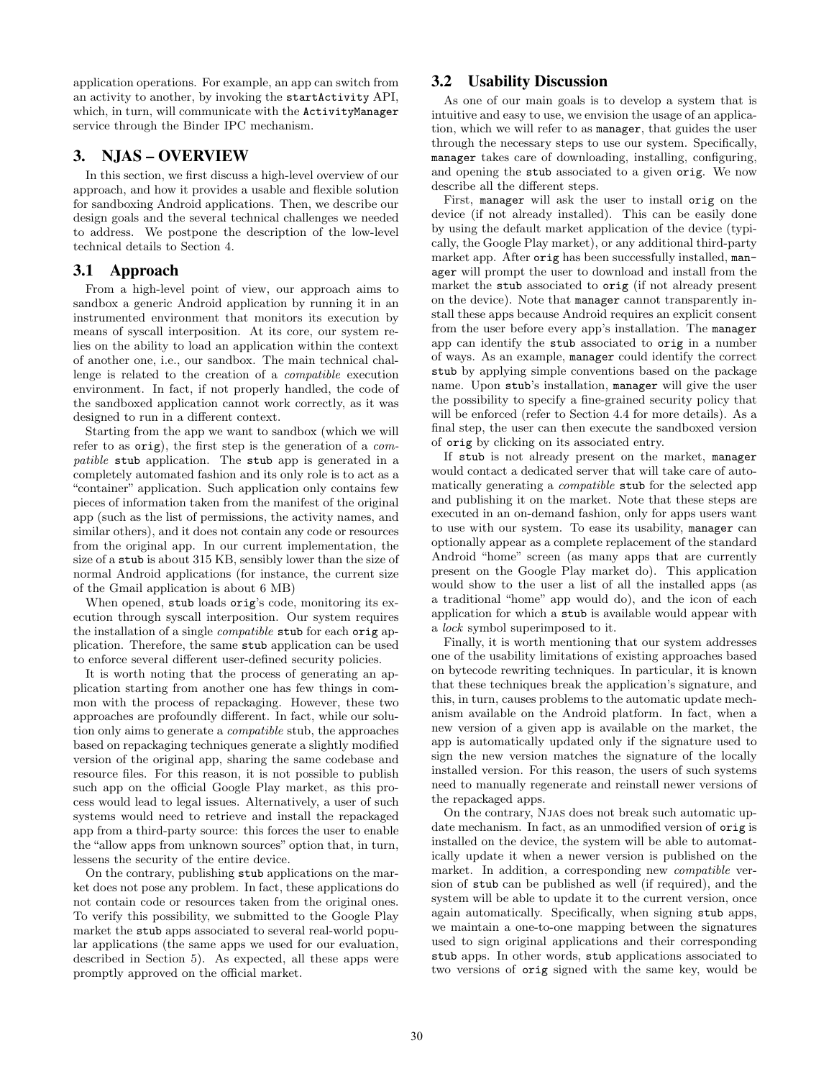application operations. For example, an app can switch from an activity to another, by invoking the startActivity API, which, in turn, will communicate with the ActivityManager service through the Binder IPC mechanism.

# 3. NJAS – OVERVIEW

In this section, we first discuss a high-level overview of our approach, and how it provides a usable and flexible solution for sandboxing Android applications. Then, we describe our design goals and the several technical challenges we needed to address. We postpone the description of the low-level technical details to Section 4.

# 3.1 Approach

From a high-level point of view, our approach aims to sandbox a generic Android application by running it in an instrumented environment that monitors its execution by means of syscall interposition. At its core, our system relies on the ability to load an application within the context of another one, i.e., our sandbox. The main technical challenge is related to the creation of a compatible execution environment. In fact, if not properly handled, the code of the sandboxed application cannot work correctly, as it was designed to run in a different context.

Starting from the app we want to sandbox (which we will refer to as orig), the first step is the generation of a compatible stub application. The stub app is generated in a completely automated fashion and its only role is to act as a "container" application. Such application only contains few pieces of information taken from the manifest of the original app (such as the list of permissions, the activity names, and similar others), and it does not contain any code or resources from the original app. In our current implementation, the size of a stub is about 315 KB, sensibly lower than the size of normal Android applications (for instance, the current size of the Gmail application is about 6 MB)

When opened, stub loads orig's code, monitoring its execution through syscall interposition. Our system requires the installation of a single *compatible* stub for each orig application. Therefore, the same stub application can be used to enforce several different user-defined security policies.

It is worth noting that the process of generating an application starting from another one has few things in common with the process of repackaging. However, these two approaches are profoundly different. In fact, while our solution only aims to generate a compatible stub, the approaches based on repackaging techniques generate a slightly modified version of the original app, sharing the same codebase and resource files. For this reason, it is not possible to publish such app on the official Google Play market, as this process would lead to legal issues. Alternatively, a user of such systems would need to retrieve and install the repackaged app from a third-party source: this forces the user to enable the "allow apps from unknown sources" option that, in turn, lessens the security of the entire device.

On the contrary, publishing stub applications on the market does not pose any problem. In fact, these applications do not contain code or resources taken from the original ones. To verify this possibility, we submitted to the Google Play market the stub apps associated to several real-world popular applications (the same apps we used for our evaluation, described in Section 5). As expected, all these apps were promptly approved on the official market.

# 3.2 Usability Discussion

As one of our main goals is to develop a system that is intuitive and easy to use, we envision the usage of an application, which we will refer to as manager, that guides the user through the necessary steps to use our system. Specifically, manager takes care of downloading, installing, configuring, and opening the stub associated to a given orig. We now describe all the different steps.

First, manager will ask the user to install orig on the device (if not already installed). This can be easily done by using the default market application of the device (typically, the Google Play market), or any additional third-party market app. After orig has been successfully installed, manager will prompt the user to download and install from the market the stub associated to orig (if not already present on the device). Note that manager cannot transparently install these apps because Android requires an explicit consent from the user before every app's installation. The manager app can identify the stub associated to orig in a number of ways. As an example, manager could identify the correct stub by applying simple conventions based on the package name. Upon stub's installation, manager will give the user the possibility to specify a fine-grained security policy that will be enforced (refer to Section 4.4 for more details). As a final step, the user can then execute the sandboxed version of orig by clicking on its associated entry.

If stub is not already present on the market, manager would contact a dedicated server that will take care of automatically generating a compatible stub for the selected app and publishing it on the market. Note that these steps are executed in an on-demand fashion, only for apps users want to use with our system. To ease its usability, manager can optionally appear as a complete replacement of the standard Android "home" screen (as many apps that are currently present on the Google Play market do). This application would show to the user a list of all the installed apps (as a traditional "home" app would do), and the icon of each application for which a stub is available would appear with a lock symbol superimposed to it.

Finally, it is worth mentioning that our system addresses one of the usability limitations of existing approaches based on bytecode rewriting techniques. In particular, it is known that these techniques break the application's signature, and this, in turn, causes problems to the automatic update mechanism available on the Android platform. In fact, when a new version of a given app is available on the market, the app is automatically updated only if the signature used to sign the new version matches the signature of the locally installed version. For this reason, the users of such systems need to manually regenerate and reinstall newer versions of the repackaged apps.

On the contrary, Njas does not break such automatic update mechanism. In fact, as an unmodified version of orig is installed on the device, the system will be able to automatically update it when a newer version is published on the market. In addition, a corresponding new compatible version of stub can be published as well (if required), and the system will be able to update it to the current version, once again automatically. Specifically, when signing stub apps, we maintain a one-to-one mapping between the signatures used to sign original applications and their corresponding stub apps. In other words, stub applications associated to two versions of orig signed with the same key, would be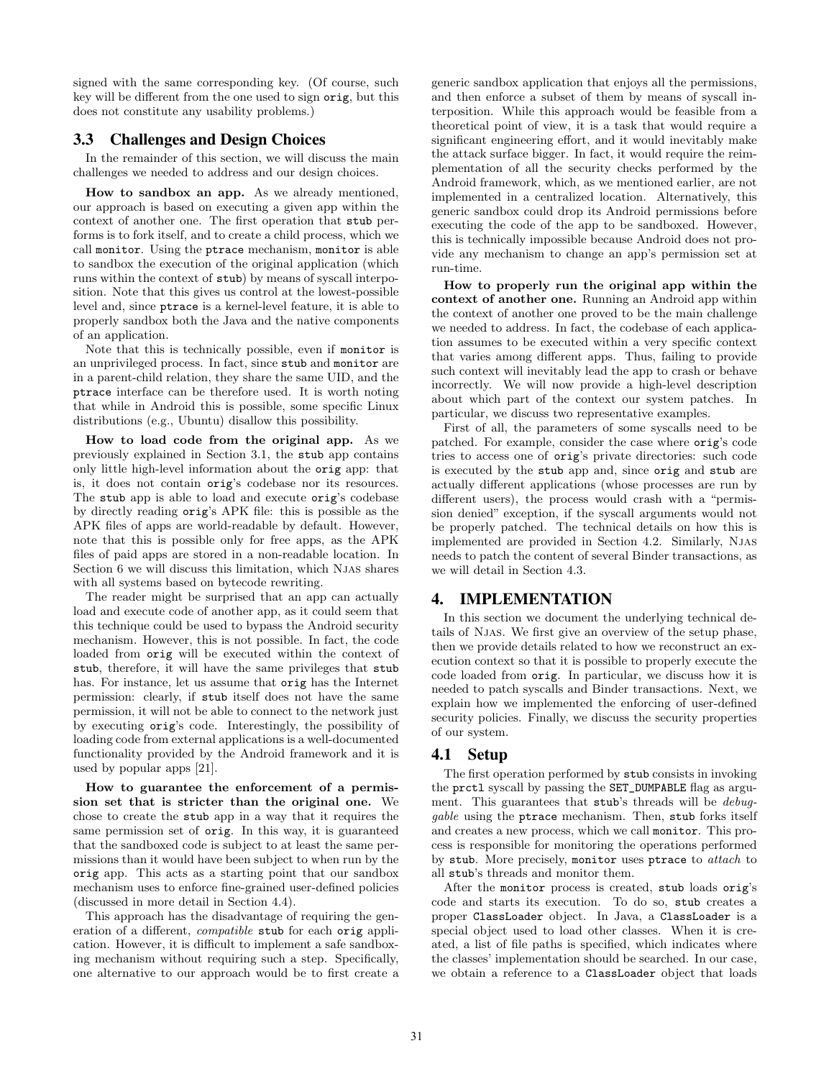signed with the same corresponding key. (Of course, such key will be different from the one used to sign orig, but this does not constitute any usability problems.)

### 3.3 Challenges and Design Choices

In the remainder of this section, we will discuss the main challenges we needed to address and our design choices.

How to sandbox an app. As we already mentioned, our approach is based on executing a given app within the context of another one. The first operation that stub performs is to fork itself, and to create a child process, which we call monitor. Using the ptrace mechanism, monitor is able to sandbox the execution of the original application (which runs within the context of stub) by means of syscall interposition. Note that this gives us control at the lowest-possible level and, since ptrace is a kernel-level feature, it is able to properly sandbox both the Java and the native components of an application.

Note that this is technically possible, even if monitor is an unprivileged process. In fact, since stub and monitor are in a parent-child relation, they share the same UID, and the ptrace interface can be therefore used. It is worth noting that while in Android this is possible, some specific Linux distributions (e.g., Ubuntu) disallow this possibility.

How to load code from the original app. As we previously explained in Section 3.1, the stub app contains only little high-level information about the orig app: that is, it does not contain orig's codebase nor its resources. The stub app is able to load and execute orig's codebase by directly reading orig's APK file: this is possible as the APK files of apps are world-readable by default. However, note that this is possible only for free apps, as the APK files of paid apps are stored in a non-readable location. In Section 6 we will discuss this limitation, which Njas shares with all systems based on bytecode rewriting.

The reader might be surprised that an app can actually load and execute code of another app, as it could seem that this technique could be used to bypass the Android security mechanism. However, this is not possible. In fact, the code loaded from orig will be executed within the context of stub, therefore, it will have the same privileges that stub has. For instance, let us assume that orig has the Internet permission: clearly, if stub itself does not have the same permission, it will not be able to connect to the network just by executing orig's code. Interestingly, the possibility of loading code from external applications is a well-documented functionality provided by the Android framework and it is used by popular apps [21].

How to guarantee the enforcement of a permission set that is stricter than the original one. We chose to create the stub app in a way that it requires the same permission set of orig. In this way, it is guaranteed that the sandboxed code is subject to at least the same permissions than it would have been subject to when run by the orig app. This acts as a starting point that our sandbox mechanism uses to enforce fine-grained user-defined policies (discussed in more detail in Section 4.4).

This approach has the disadvantage of requiring the generation of a different, *compatible* stub for each orig application. However, it is difficult to implement a safe sandboxing mechanism without requiring such a step. Specifically, one alternative to our approach would be to first create a generic sandbox application that enjoys all the permissions, and then enforce a subset of them by means of syscall interposition. While this approach would be feasible from a theoretical point of view, it is a task that would require a significant engineering effort, and it would inevitably make the attack surface bigger. In fact, it would require the reimplementation of all the security checks performed by the Android framework, which, as we mentioned earlier, are not implemented in a centralized location. Alternatively, this generic sandbox could drop its Android permissions before executing the code of the app to be sandboxed. However, this is technically impossible because Android does not provide any mechanism to change an app's permission set at run-time.

How to properly run the original app within the context of another one. Running an Android app within the context of another one proved to be the main challenge we needed to address. In fact, the codebase of each application assumes to be executed within a very specific context that varies among different apps. Thus, failing to provide such context will inevitably lead the app to crash or behave incorrectly. We will now provide a high-level description about which part of the context our system patches. In particular, we discuss two representative examples.

First of all, the parameters of some syscalls need to be patched. For example, consider the case where orig's code tries to access one of orig's private directories: such code is executed by the stub app and, since orig and stub are actually different applications (whose processes are run by different users), the process would crash with a "permission denied" exception, if the syscall arguments would not be properly patched. The technical details on how this is implemented are provided in Section 4.2. Similarly, Njas needs to patch the content of several Binder transactions, as we will detail in Section 4.3.

# 4. IMPLEMENTATION

In this section we document the underlying technical details of Njas. We first give an overview of the setup phase, then we provide details related to how we reconstruct an execution context so that it is possible to properly execute the code loaded from orig. In particular, we discuss how it is needed to patch syscalls and Binder transactions. Next, we explain how we implemented the enforcing of user-defined security policies. Finally, we discuss the security properties of our system.

### 4.1 Setup

The first operation performed by stub consists in invoking the prctl syscall by passing the SET\_DUMPABLE flag as argument. This guarantees that stub's threads will be *debuq*gable using the ptrace mechanism. Then, stub forks itself and creates a new process, which we call monitor. This process is responsible for monitoring the operations performed by stub. More precisely, monitor uses ptrace to attach to all stub's threads and monitor them.

After the monitor process is created, stub loads orig's code and starts its execution. To do so, stub creates a proper ClassLoader object. In Java, a ClassLoader is a special object used to load other classes. When it is created, a list of file paths is specified, which indicates where the classes' implementation should be searched. In our case, we obtain a reference to a ClassLoader object that loads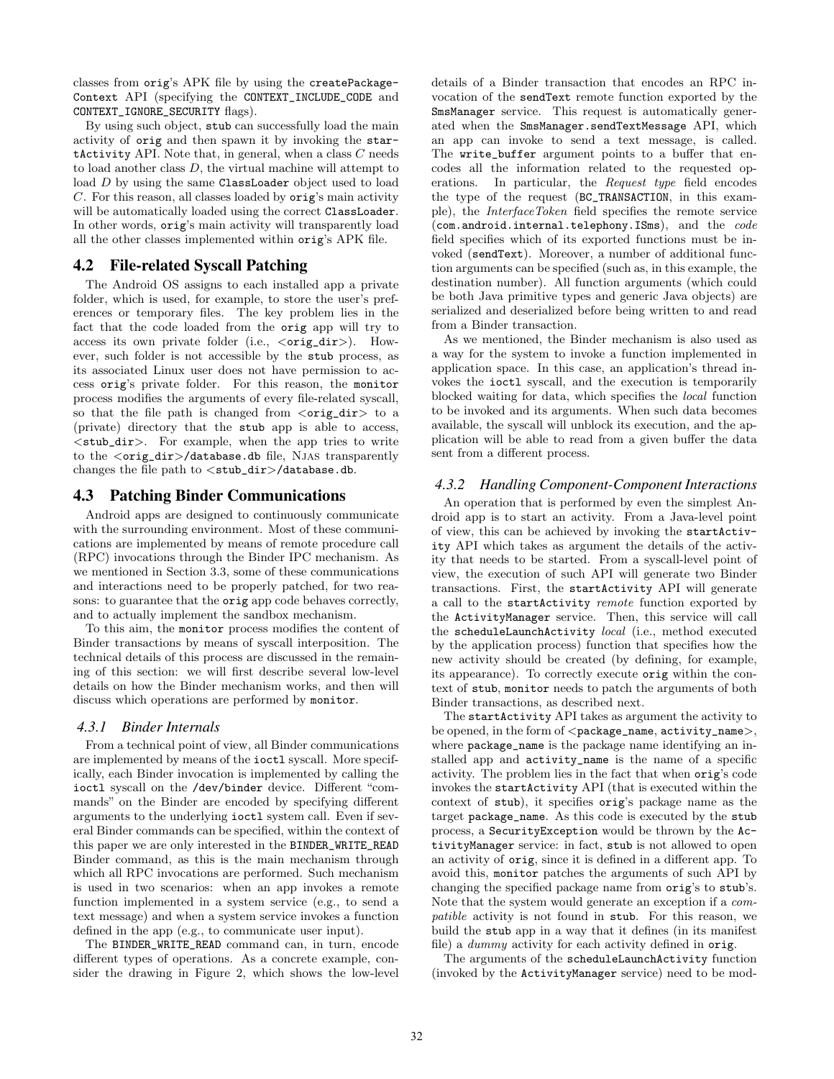classes from orig's APK file by using the createPackage-Context API (specifying the CONTEXT\_INCLUDE\_CODE and CONTEXT\_IGNORE\_SECURITY flags).

By using such object, stub can successfully load the main activity of orig and then spawn it by invoking the startActivity API. Note that, in general, when a class  $C$  needs to load another class D, the virtual machine will attempt to load D by using the same ClassLoader object used to load C. For this reason, all classes loaded by orig's main activity will be automatically loaded using the correct ClassLoader. In other words, orig's main activity will transparently load all the other classes implemented within orig's APK file.

# 4.2 File-related Syscall Patching

The Android OS assigns to each installed app a private folder, which is used, for example, to store the user's preferences or temporary files. The key problem lies in the fact that the code loaded from the orig app will try to access its own private folder (i.e.,  $\langle$ orig\_dir>). However, such folder is not accessible by the stub process, as its associated Linux user does not have permission to access orig's private folder. For this reason, the monitor process modifies the arguments of every file-related syscall, so that the file path is changed from  $\langle$ orig\_dir> to a (private) directory that the stub app is able to access, <stub\_dir>. For example, when the app tries to write to the <orig\_dir>/database.db file, Njas transparently changes the file path to  $<$  stub\_dir  $>$  /database.db.

# 4.3 Patching Binder Communications

Android apps are designed to continuously communicate with the surrounding environment. Most of these communications are implemented by means of remote procedure call (RPC) invocations through the Binder IPC mechanism. As we mentioned in Section 3.3, some of these communications and interactions need to be properly patched, for two reasons: to guarantee that the orig app code behaves correctly, and to actually implement the sandbox mechanism.

To this aim, the monitor process modifies the content of Binder transactions by means of syscall interposition. The technical details of this process are discussed in the remaining of this section: we will first describe several low-level details on how the Binder mechanism works, and then will discuss which operations are performed by monitor.

#### *4.3.1 Binder Internals*

From a technical point of view, all Binder communications are implemented by means of the ioctl syscall. More specifically, each Binder invocation is implemented by calling the ioctl syscall on the /dev/binder device. Different "commands" on the Binder are encoded by specifying different arguments to the underlying ioctl system call. Even if several Binder commands can be specified, within the context of this paper we are only interested in the BINDER\_WRITE\_READ Binder command, as this is the main mechanism through which all RPC invocations are performed. Such mechanism is used in two scenarios: when an app invokes a remote function implemented in a system service (e.g., to send a text message) and when a system service invokes a function defined in the app (e.g., to communicate user input).

The BINDER\_WRITE\_READ command can, in turn, encode different types of operations. As a concrete example, consider the drawing in Figure 2, which shows the low-level details of a Binder transaction that encodes an RPC invocation of the sendText remote function exported by the SmsManager service. This request is automatically generated when the SmsManager.sendTextMessage API, which an app can invoke to send a text message, is called. The write\_buffer argument points to a buffer that encodes all the information related to the requested operations. In particular, the Request type field encodes the type of the request (BC\_TRANSACTION, in this example), the InterfaceToken field specifies the remote service (com.android.internal.telephony.ISms), and the code field specifies which of its exported functions must be invoked (sendText). Moreover, a number of additional function arguments can be specified (such as, in this example, the destination number). All function arguments (which could be both Java primitive types and generic Java objects) are serialized and deserialized before being written to and read from a Binder transaction.

As we mentioned, the Binder mechanism is also used as a way for the system to invoke a function implemented in application space. In this case, an application's thread invokes the ioctl syscall, and the execution is temporarily blocked waiting for data, which specifies the local function to be invoked and its arguments. When such data becomes available, the syscall will unblock its execution, and the application will be able to read from a given buffer the data sent from a different process.

#### *4.3.2 Handling Component-Component Interactions*

An operation that is performed by even the simplest Android app is to start an activity. From a Java-level point of view, this can be achieved by invoking the startActivity API which takes as argument the details of the activity that needs to be started. From a syscall-level point of view, the execution of such API will generate two Binder transactions. First, the startActivity API will generate a call to the startActivity remote function exported by the ActivityManager service. Then, this service will call the scheduleLaunchActivity local (i.e., method executed by the application process) function that specifies how the new activity should be created (by defining, for example, its appearance). To correctly execute orig within the context of stub, monitor needs to patch the arguments of both Binder transactions, as described next.

The startActivity API takes as argument the activity to be opened, in the form of <package\_name, activity\_name>, where package\_name is the package name identifying an installed app and activity\_name is the name of a specific activity. The problem lies in the fact that when orig's code invokes the startActivity API (that is executed within the context of stub), it specifies orig's package name as the target package\_name. As this code is executed by the stub process, a SecurityException would be thrown by the ActivityManager service: in fact, stub is not allowed to open an activity of orig, since it is defined in a different app. To avoid this, monitor patches the arguments of such API by changing the specified package name from orig's to stub's. Note that the system would generate an exception if a compatible activity is not found in stub. For this reason, we build the stub app in a way that it defines (in its manifest file) a dummy activity for each activity defined in orig.

The arguments of the scheduleLaunchActivity function (invoked by the ActivityManager service) need to be mod-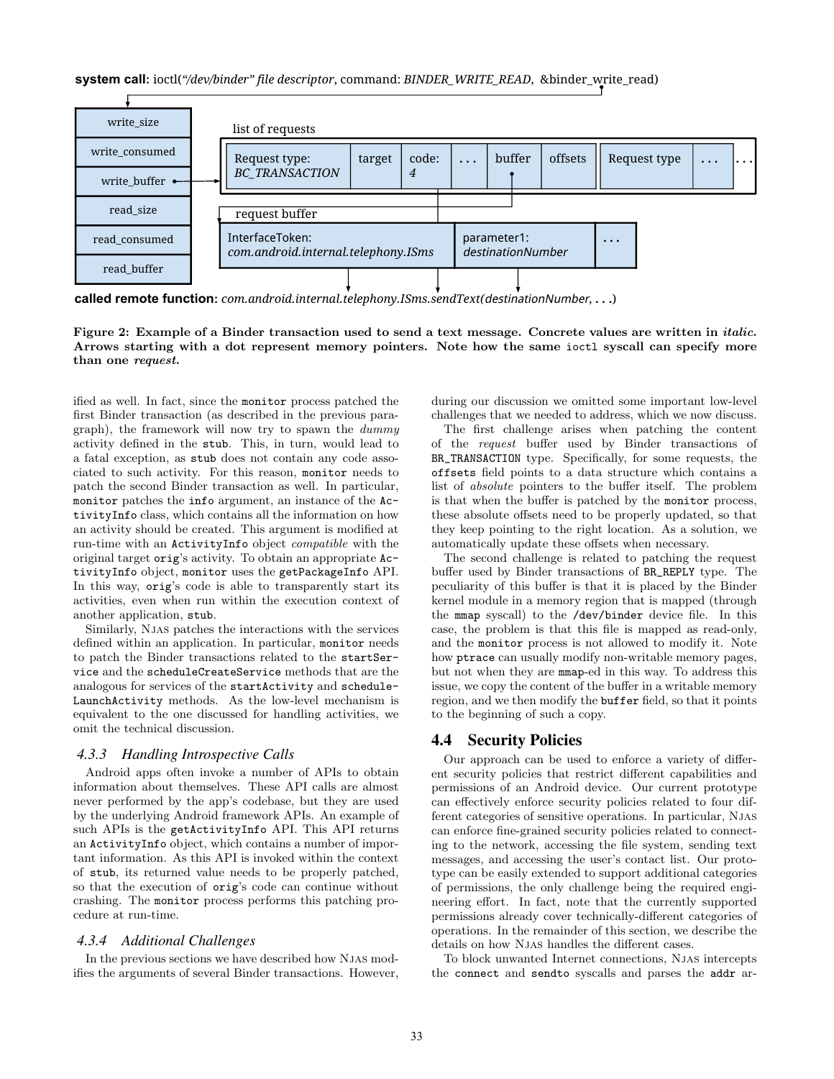

**called remote function:** *com.android.internal.telephony.ISms.sendText(*destinationNumber, **. . .**)

Figure 2: Example of a Binder transaction used to send a text message. Concrete values are written in italic. Arrows starting with a dot represent memory pointers. Note how the same ioctl syscall can specify more than one request.

ified as well. In fact, since the monitor process patched the first Binder transaction (as described in the previous paragraph), the framework will now try to spawn the dummy activity defined in the stub. This, in turn, would lead to a fatal exception, as stub does not contain any code associated to such activity. For this reason, monitor needs to patch the second Binder transaction as well. In particular, monitor patches the info argument, an instance of the ActivityInfo class, which contains all the information on how an activity should be created. This argument is modified at run-time with an ActivityInfo object compatible with the original target orig's activity. To obtain an appropriate ActivityInfo object, monitor uses the getPackageInfo API. In this way, orig's code is able to transparently start its activities, even when run within the execution context of another application, stub.

Similarly, Njas patches the interactions with the services defined within an application. In particular, monitor needs to patch the Binder transactions related to the startService and the scheduleCreateService methods that are the analogous for services of the startActivity and schedule-LaunchActivity methods. As the low-level mechanism is equivalent to the one discussed for handling activities, we omit the technical discussion.

#### *4.3.3 Handling Introspective Calls*

Android apps often invoke a number of APIs to obtain information about themselves. These API calls are almost never performed by the app's codebase, but they are used by the underlying Android framework APIs. An example of such APIs is the getActivityInfo API. This API returns an ActivityInfo object, which contains a number of important information. As this API is invoked within the context of stub, its returned value needs to be properly patched, so that the execution of orig's code can continue without crashing. The monitor process performs this patching procedure at run-time.

#### *4.3.4 Additional Challenges*

In the previous sections we have described how Njas modifies the arguments of several Binder transactions. However,

during our discussion we omitted some important low-level challenges that we needed to address, which we now discuss.

The first challenge arises when patching the content of the request buffer used by Binder transactions of BR\_TRANSACTION type. Specifically, for some requests, the offsets field points to a data structure which contains a list of absolute pointers to the buffer itself. The problem is that when the buffer is patched by the monitor process, these absolute offsets need to be properly updated, so that they keep pointing to the right location. As a solution, we automatically update these offsets when necessary.

The second challenge is related to patching the request buffer used by Binder transactions of BR\_REPLY type. The peculiarity of this buffer is that it is placed by the Binder kernel module in a memory region that is mapped (through the mmap syscall) to the /dev/binder device file. In this case, the problem is that this file is mapped as read-only, and the monitor process is not allowed to modify it. Note how ptrace can usually modify non-writable memory pages, but not when they are mmap-ed in this way. To address this issue, we copy the content of the buffer in a writable memory region, and we then modify the buffer field, so that it points to the beginning of such a copy.

## 4.4 Security Policies

Our approach can be used to enforce a variety of different security policies that restrict different capabilities and permissions of an Android device. Our current prototype can effectively enforce security policies related to four different categories of sensitive operations. In particular, Njas can enforce fine-grained security policies related to connecting to the network, accessing the file system, sending text messages, and accessing the user's contact list. Our prototype can be easily extended to support additional categories of permissions, the only challenge being the required engineering effort. In fact, note that the currently supported permissions already cover technically-different categories of operations. In the remainder of this section, we describe the details on how Njas handles the different cases.

To block unwanted Internet connections, Njas intercepts the connect and sendto syscalls and parses the addr ar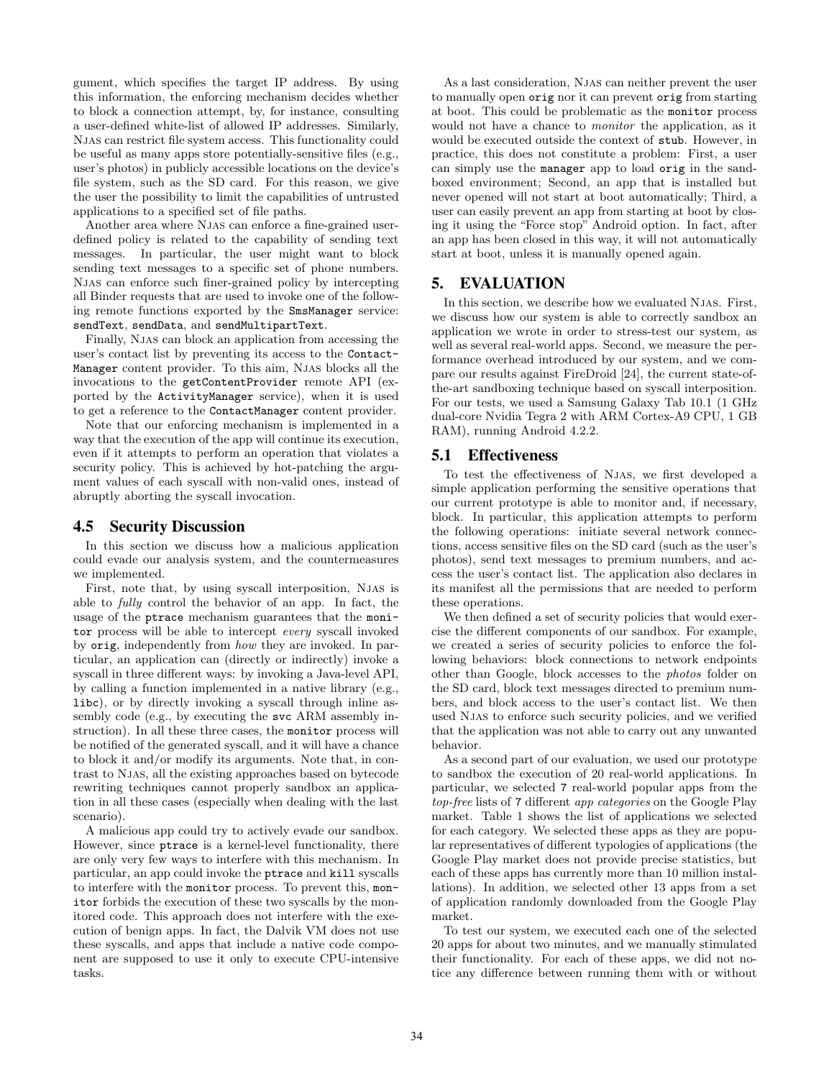gument, which specifies the target IP address. By using this information, the enforcing mechanism decides whether to block a connection attempt, by, for instance, consulting a user-defined white-list of allowed IP addresses. Similarly, Njas can restrict file system access. This functionality could be useful as many apps store potentially-sensitive files (e.g., user's photos) in publicly accessible locations on the device's file system, such as the SD card. For this reason, we give the user the possibility to limit the capabilities of untrusted applications to a specified set of file paths.

Another area where Njas can enforce a fine-grained userdefined policy is related to the capability of sending text messages. In particular, the user might want to block sending text messages to a specific set of phone numbers. Njas can enforce such finer-grained policy by intercepting all Binder requests that are used to invoke one of the following remote functions exported by the SmsManager service: sendText, sendData, and sendMultipartText.

Finally, Njas can block an application from accessing the user's contact list by preventing its access to the Contact-Manager content provider. To this aim, Njas blocks all the invocations to the getContentProvider remote API (exported by the ActivityManager service), when it is used to get a reference to the ContactManager content provider.

Note that our enforcing mechanism is implemented in a way that the execution of the app will continue its execution, even if it attempts to perform an operation that violates a security policy. This is achieved by hot-patching the argument values of each syscall with non-valid ones, instead of abruptly aborting the syscall invocation.

### 4.5 Security Discussion

In this section we discuss how a malicious application could evade our analysis system, and the countermeasures we implemented.

First, note that, by using syscall interposition, Njas is able to fully control the behavior of an app. In fact, the usage of the ptrace mechanism guarantees that the monitor process will be able to intercept every syscall invoked by orig, independently from how they are invoked. In particular, an application can (directly or indirectly) invoke a syscall in three different ways: by invoking a Java-level API, by calling a function implemented in a native library (e.g., libc), or by directly invoking a syscall through inline assembly code (e.g., by executing the svc ARM assembly instruction). In all these three cases, the monitor process will be notified of the generated syscall, and it will have a chance to block it and/or modify its arguments. Note that, in contrast to Njas, all the existing approaches based on bytecode rewriting techniques cannot properly sandbox an application in all these cases (especially when dealing with the last scenario).

A malicious app could try to actively evade our sandbox. However, since ptrace is a kernel-level functionality, there are only very few ways to interfere with this mechanism. In particular, an app could invoke the ptrace and kill syscalls to interfere with the monitor process. To prevent this, monitor forbids the execution of these two syscalls by the monitored code. This approach does not interfere with the execution of benign apps. In fact, the Dalvik VM does not use these syscalls, and apps that include a native code component are supposed to use it only to execute CPU-intensive tasks.

As a last consideration, Njas can neither prevent the user to manually open orig nor it can prevent orig from starting at boot. This could be problematic as the monitor process would not have a chance to monitor the application, as it would be executed outside the context of stub. However, in practice, this does not constitute a problem: First, a user can simply use the manager app to load orig in the sandboxed environment; Second, an app that is installed but never opened will not start at boot automatically; Third, a user can easily prevent an app from starting at boot by closing it using the "Force stop" Android option. In fact, after an app has been closed in this way, it will not automatically start at boot, unless it is manually opened again.

# 5. EVALUATION

In this section, we describe how we evaluated NJAS. First, we discuss how our system is able to correctly sandbox an application we wrote in order to stress-test our system, as well as several real-world apps. Second, we measure the performance overhead introduced by our system, and we compare our results against FireDroid [24], the current state-ofthe-art sandboxing technique based on syscall interposition. For our tests, we used a Samsung Galaxy Tab 10.1 (1 GHz dual-core Nvidia Tegra 2 with ARM Cortex-A9 CPU, 1 GB RAM), running Android 4.2.2.

#### 5.1 Effectiveness

To test the effectiveness of Njas, we first developed a simple application performing the sensitive operations that our current prototype is able to monitor and, if necessary, block. In particular, this application attempts to perform the following operations: initiate several network connections, access sensitive files on the SD card (such as the user's photos), send text messages to premium numbers, and access the user's contact list. The application also declares in its manifest all the permissions that are needed to perform these operations.

We then defined a set of security policies that would exercise the different components of our sandbox. For example, we created a series of security policies to enforce the following behaviors: block connections to network endpoints other than Google, block accesses to the photos folder on the SD card, block text messages directed to premium numbers, and block access to the user's contact list. We then used Njas to enforce such security policies, and we verified that the application was not able to carry out any unwanted behavior.

As a second part of our evaluation, we used our prototype to sandbox the execution of 20 real-world applications. In particular, we selected 7 real-world popular apps from the top-free lists of 7 different app categories on the Google Play market. Table 1 shows the list of applications we selected for each category. We selected these apps as they are popular representatives of different typologies of applications (the Google Play market does not provide precise statistics, but each of these apps has currently more than 10 million installations). In addition, we selected other 13 apps from a set of application randomly downloaded from the Google Play market.

To test our system, we executed each one of the selected 20 apps for about two minutes, and we manually stimulated their functionality. For each of these apps, we did not notice any difference between running them with or without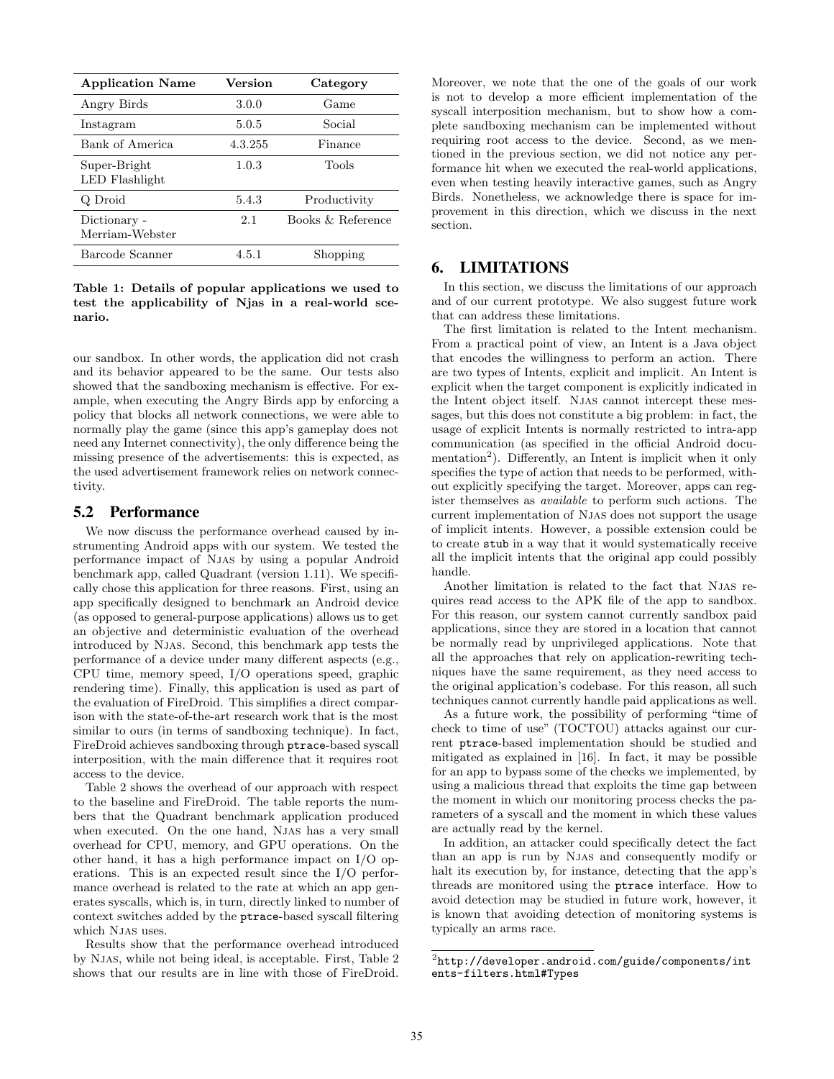| <b>Application Name</b>         | Version | Category          |
|---------------------------------|---------|-------------------|
| Angry Birds                     | 3.0.0   | Game              |
| Instagram                       | 5.0.5   | Social            |
| Bank of America                 | 4.3.255 | Finance           |
| Super-Bright<br>LED Flashlight  | 1.0.3   | Tools             |
| Q Droid                         | 5.4.3   | Productivity      |
| Dictionary -<br>Merriam-Webster | 2.1     | Books & Reference |
| Barcode Scanner                 | 4.5.1   | Shopping          |

Table 1: Details of popular applications we used to test the applicability of Njas in a real-world scenario.

our sandbox. In other words, the application did not crash and its behavior appeared to be the same. Our tests also showed that the sandboxing mechanism is effective. For example, when executing the Angry Birds app by enforcing a policy that blocks all network connections, we were able to normally play the game (since this app's gameplay does not need any Internet connectivity), the only difference being the missing presence of the advertisements: this is expected, as the used advertisement framework relies on network connectivity.

# 5.2 Performance

We now discuss the performance overhead caused by instrumenting Android apps with our system. We tested the performance impact of Njas by using a popular Android benchmark app, called Quadrant (version 1.11). We specifically chose this application for three reasons. First, using an app specifically designed to benchmark an Android device (as opposed to general-purpose applications) allows us to get an objective and deterministic evaluation of the overhead introduced by Njas. Second, this benchmark app tests the performance of a device under many different aspects (e.g., CPU time, memory speed, I/O operations speed, graphic rendering time). Finally, this application is used as part of the evaluation of FireDroid. This simplifies a direct comparison with the state-of-the-art research work that is the most similar to ours (in terms of sandboxing technique). In fact, FireDroid achieves sandboxing through ptrace-based syscall interposition, with the main difference that it requires root access to the device.

Table 2 shows the overhead of our approach with respect to the baseline and FireDroid. The table reports the numbers that the Quadrant benchmark application produced when executed. On the one hand, Njas has a very small overhead for CPU, memory, and GPU operations. On the other hand, it has a high performance impact on I/O operations. This is an expected result since the I/O performance overhead is related to the rate at which an app generates syscalls, which is, in turn, directly linked to number of context switches added by the ptrace-based syscall filtering which Njas uses.

Results show that the performance overhead introduced by Njas, while not being ideal, is acceptable. First, Table 2 shows that our results are in line with those of FireDroid. Moreover, we note that the one of the goals of our work is not to develop a more efficient implementation of the syscall interposition mechanism, but to show how a complete sandboxing mechanism can be implemented without requiring root access to the device. Second, as we mentioned in the previous section, we did not notice any performance hit when we executed the real-world applications, even when testing heavily interactive games, such as Angry Birds. Nonetheless, we acknowledge there is space for improvement in this direction, which we discuss in the next section.

### 6. LIMITATIONS

In this section, we discuss the limitations of our approach and of our current prototype. We also suggest future work that can address these limitations.

The first limitation is related to the Intent mechanism. From a practical point of view, an Intent is a Java object that encodes the willingness to perform an action. There are two types of Intents, explicit and implicit. An Intent is explicit when the target component is explicitly indicated in the Intent object itself. Njas cannot intercept these messages, but this does not constitute a big problem: in fact, the usage of explicit Intents is normally restricted to intra-app communication (as specified in the official Android documentation<sup>2</sup>). Differently, an Intent is implicit when it only specifies the type of action that needs to be performed, without explicitly specifying the target. Moreover, apps can register themselves as available to perform such actions. The current implementation of Njas does not support the usage of implicit intents. However, a possible extension could be to create stub in a way that it would systematically receive all the implicit intents that the original app could possibly handle.

Another limitation is related to the fact that Njas requires read access to the APK file of the app to sandbox. For this reason, our system cannot currently sandbox paid applications, since they are stored in a location that cannot be normally read by unprivileged applications. Note that all the approaches that rely on application-rewriting techniques have the same requirement, as they need access to the original application's codebase. For this reason, all such techniques cannot currently handle paid applications as well.

As a future work, the possibility of performing "time of check to time of use" (TOCTOU) attacks against our current ptrace-based implementation should be studied and mitigated as explained in [16]. In fact, it may be possible for an app to bypass some of the checks we implemented, by using a malicious thread that exploits the time gap between the moment in which our monitoring process checks the parameters of a syscall and the moment in which these values are actually read by the kernel.

In addition, an attacker could specifically detect the fact than an app is run by Njas and consequently modify or halt its execution by, for instance, detecting that the app's threads are monitored using the ptrace interface. How to avoid detection may be studied in future work, however, it is known that avoiding detection of monitoring systems is typically an arms race.

 $^{2}$ http://developer.android.com/guide/components/int ents-filters.html#Types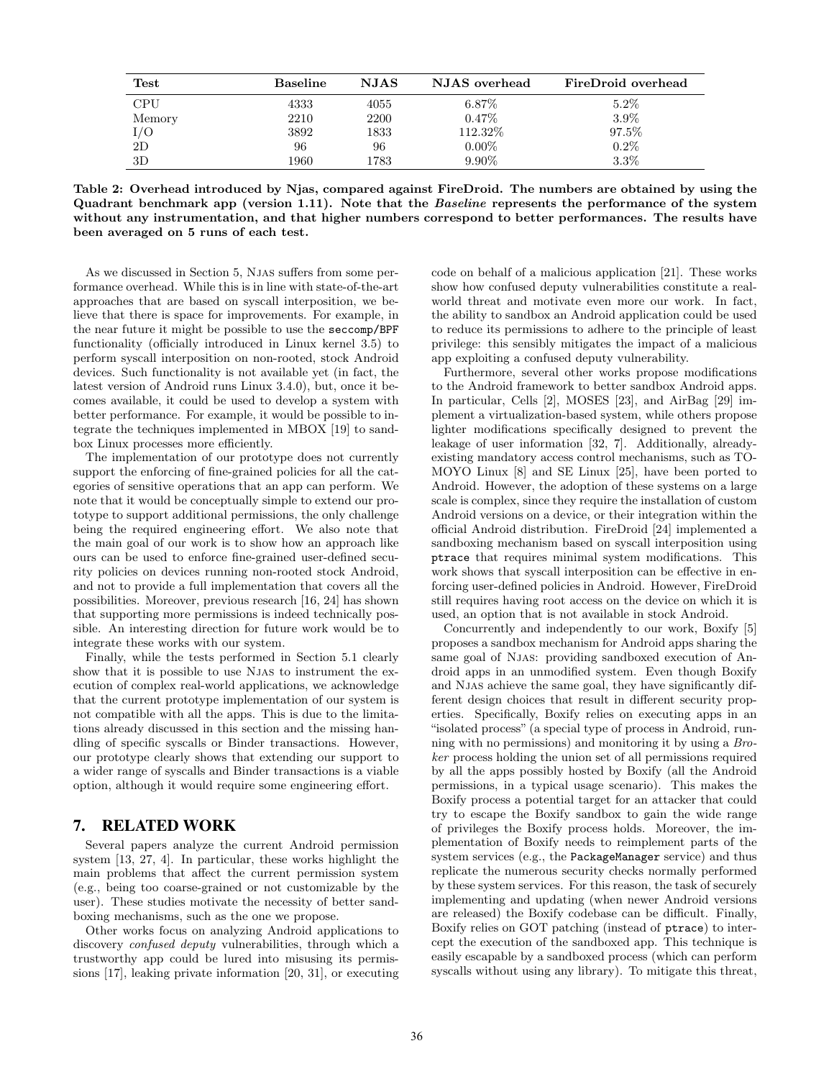| <b>Test</b>  | <b>Baseline</b> | <b>NJAS</b> | NJAS overhead | FireDroid overhead |
|--------------|-----------------|-------------|---------------|--------------------|
| $_{\rm CPU}$ | 4333            | 4055        | $6.87\%$      | $5.2\%$            |
| Memory       | 2210            | 2200        | $0.47\%$      | $3.9\%$            |
| I/O          | 3892            | 1833        | 112.32%       | 97.5%              |
| 2D           | 96              | 96          | $0.00\%$      | $0.2\%$            |
| 3D           | 1960            | 1783        | $9.90\%$      | $3.3\%$            |

Table 2: Overhead introduced by Njas, compared against FireDroid. The numbers are obtained by using the Quadrant benchmark app (version 1.11). Note that the Baseline represents the performance of the system without any instrumentation, and that higher numbers correspond to better performances. The results have been averaged on 5 runs of each test.

As we discussed in Section 5, Njas suffers from some performance overhead. While this is in line with state-of-the-art approaches that are based on syscall interposition, we believe that there is space for improvements. For example, in the near future it might be possible to use the seccomp/BPF functionality (officially introduced in Linux kernel 3.5) to perform syscall interposition on non-rooted, stock Android devices. Such functionality is not available yet (in fact, the latest version of Android runs Linux 3.4.0), but, once it becomes available, it could be used to develop a system with better performance. For example, it would be possible to integrate the techniques implemented in MBOX [19] to sandbox Linux processes more efficiently.

The implementation of our prototype does not currently support the enforcing of fine-grained policies for all the categories of sensitive operations that an app can perform. We note that it would be conceptually simple to extend our prototype to support additional permissions, the only challenge being the required engineering effort. We also note that the main goal of our work is to show how an approach like ours can be used to enforce fine-grained user-defined security policies on devices running non-rooted stock Android, and not to provide a full implementation that covers all the possibilities. Moreover, previous research [16, 24] has shown that supporting more permissions is indeed technically possible. An interesting direction for future work would be to integrate these works with our system.

Finally, while the tests performed in Section 5.1 clearly show that it is possible to use Njas to instrument the execution of complex real-world applications, we acknowledge that the current prototype implementation of our system is not compatible with all the apps. This is due to the limitations already discussed in this section and the missing handling of specific syscalls or Binder transactions. However, our prototype clearly shows that extending our support to a wider range of syscalls and Binder transactions is a viable option, although it would require some engineering effort.

## 7. RELATED WORK

Several papers analyze the current Android permission system [13, 27, 4]. In particular, these works highlight the main problems that affect the current permission system (e.g., being too coarse-grained or not customizable by the user). These studies motivate the necessity of better sandboxing mechanisms, such as the one we propose.

Other works focus on analyzing Android applications to discovery confused deputy vulnerabilities, through which a trustworthy app could be lured into misusing its permissions [17], leaking private information [20, 31], or executing code on behalf of a malicious application [21]. These works show how confused deputy vulnerabilities constitute a realworld threat and motivate even more our work. In fact, the ability to sandbox an Android application could be used to reduce its permissions to adhere to the principle of least privilege: this sensibly mitigates the impact of a malicious app exploiting a confused deputy vulnerability.

Furthermore, several other works propose modifications to the Android framework to better sandbox Android apps. In particular, Cells [2], MOSES [23], and AirBag [29] implement a virtualization-based system, while others propose lighter modifications specifically designed to prevent the leakage of user information [32, 7]. Additionally, alreadyexisting mandatory access control mechanisms, such as TO-MOYO Linux [8] and SE Linux [25], have been ported to Android. However, the adoption of these systems on a large scale is complex, since they require the installation of custom Android versions on a device, or their integration within the official Android distribution. FireDroid [24] implemented a sandboxing mechanism based on syscall interposition using ptrace that requires minimal system modifications. This work shows that syscall interposition can be effective in enforcing user-defined policies in Android. However, FireDroid still requires having root access on the device on which it is used, an option that is not available in stock Android.

Concurrently and independently to our work, Boxify [5] proposes a sandbox mechanism for Android apps sharing the same goal of Njas: providing sandboxed execution of Android apps in an unmodified system. Even though Boxify and Njas achieve the same goal, they have significantly different design choices that result in different security properties. Specifically, Boxify relies on executing apps in an "isolated process" (a special type of process in Android, running with no permissions) and monitoring it by using a Broker process holding the union set of all permissions required by all the apps possibly hosted by Boxify (all the Android permissions, in a typical usage scenario). This makes the Boxify process a potential target for an attacker that could try to escape the Boxify sandbox to gain the wide range of privileges the Boxify process holds. Moreover, the implementation of Boxify needs to reimplement parts of the system services (e.g., the PackageManager service) and thus replicate the numerous security checks normally performed by these system services. For this reason, the task of securely implementing and updating (when newer Android versions are released) the Boxify codebase can be difficult. Finally, Boxify relies on GOT patching (instead of ptrace) to intercept the execution of the sandboxed app. This technique is easily escapable by a sandboxed process (which can perform syscalls without using any library). To mitigate this threat,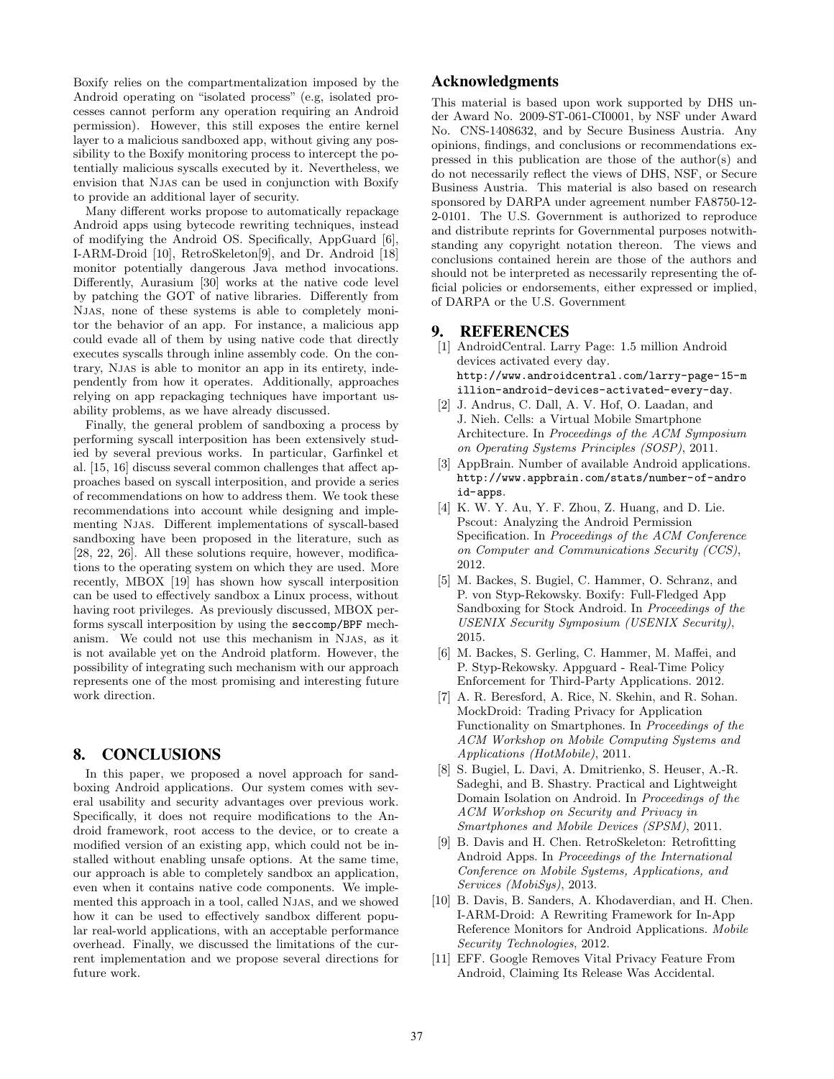Boxify relies on the compartmentalization imposed by the Android operating on "isolated process" (e.g, isolated processes cannot perform any operation requiring an Android permission). However, this still exposes the entire kernel layer to a malicious sandboxed app, without giving any possibility to the Boxify monitoring process to intercept the potentially malicious syscalls executed by it. Nevertheless, we envision that Njas can be used in conjunction with Boxify to provide an additional layer of security.

Many different works propose to automatically repackage Android apps using bytecode rewriting techniques, instead of modifying the Android OS. Specifically, AppGuard [6], I-ARM-Droid [10], RetroSkeleton[9], and Dr. Android [18] monitor potentially dangerous Java method invocations. Differently, Aurasium [30] works at the native code level by patching the GOT of native libraries. Differently from Njas, none of these systems is able to completely monitor the behavior of an app. For instance, a malicious app could evade all of them by using native code that directly executes syscalls through inline assembly code. On the contrary, Njas is able to monitor an app in its entirety, independently from how it operates. Additionally, approaches relying on app repackaging techniques have important usability problems, as we have already discussed.

Finally, the general problem of sandboxing a process by performing syscall interposition has been extensively studied by several previous works. In particular, Garfinkel et al. [15, 16] discuss several common challenges that affect approaches based on syscall interposition, and provide a series of recommendations on how to address them. We took these recommendations into account while designing and implementing Njas. Different implementations of syscall-based sandboxing have been proposed in the literature, such as [28, 22, 26]. All these solutions require, however, modifications to the operating system on which they are used. More recently, MBOX [19] has shown how syscall interposition can be used to effectively sandbox a Linux process, without having root privileges. As previously discussed, MBOX performs syscall interposition by using the seccomp/BPF mechanism. We could not use this mechanism in Njas, as it is not available yet on the Android platform. However, the possibility of integrating such mechanism with our approach represents one of the most promising and interesting future work direction.

# 8. CONCLUSIONS

In this paper, we proposed a novel approach for sandboxing Android applications. Our system comes with several usability and security advantages over previous work. Specifically, it does not require modifications to the Android framework, root access to the device, or to create a modified version of an existing app, which could not be installed without enabling unsafe options. At the same time, our approach is able to completely sandbox an application, even when it contains native code components. We implemented this approach in a tool, called Njas, and we showed how it can be used to effectively sandbox different popular real-world applications, with an acceptable performance overhead. Finally, we discussed the limitations of the current implementation and we propose several directions for future work.

# Acknowledgments

This material is based upon work supported by DHS under Award No. 2009-ST-061-CI0001, by NSF under Award No. CNS-1408632, and by Secure Business Austria. Any opinions, findings, and conclusions or recommendations expressed in this publication are those of the author(s) and do not necessarily reflect the views of DHS, NSF, or Secure Business Austria. This material is also based on research sponsored by DARPA under agreement number FA8750-12- 2-0101. The U.S. Government is authorized to reproduce and distribute reprints for Governmental purposes notwithstanding any copyright notation thereon. The views and conclusions contained herein are those of the authors and should not be interpreted as necessarily representing the official policies or endorsements, either expressed or implied, of DARPA or the U.S. Government

# 9. REFERENCES

- [1] AndroidCentral. Larry Page: 1.5 million Android devices activated every day. http://www.androidcentral.com/larry-page-15-m illion-android-devices-activated-every-day.
- [2] J. Andrus, C. Dall, A. V. Hof, O. Laadan, and J. Nieh. Cells: a Virtual Mobile Smartphone Architecture. In Proceedings of the ACM Symposium on Operating Systems Principles (SOSP), 2011.
- [3] AppBrain. Number of available Android applications. http://www.appbrain.com/stats/number-of-andro id-apps.
- [4] K. W. Y. Au, Y. F. Zhou, Z. Huang, and D. Lie. Pscout: Analyzing the Android Permission Specification. In Proceedings of the ACM Conference on Computer and Communications Security (CCS), 2012.
- [5] M. Backes, S. Bugiel, C. Hammer, O. Schranz, and P. von Styp-Rekowsky. Boxify: Full-Fledged App Sandboxing for Stock Android. In Proceedings of the USENIX Security Symposium (USENIX Security), 2015.
- [6] M. Backes, S. Gerling, C. Hammer, M. Maffei, and P. Styp-Rekowsky. Appguard - Real-Time Policy Enforcement for Third-Party Applications. 2012.
- [7] A. R. Beresford, A. Rice, N. Skehin, and R. Sohan. MockDroid: Trading Privacy for Application Functionality on Smartphones. In Proceedings of the ACM Workshop on Mobile Computing Systems and Applications (HotMobile), 2011.
- [8] S. Bugiel, L. Davi, A. Dmitrienko, S. Heuser, A.-R. Sadeghi, and B. Shastry. Practical and Lightweight Domain Isolation on Android. In Proceedings of the ACM Workshop on Security and Privacy in Smartphones and Mobile Devices (SPSM), 2011.
- [9] B. Davis and H. Chen. RetroSkeleton: Retrofitting Android Apps. In Proceedings of the International Conference on Mobile Systems, Applications, and Services (MobiSys), 2013.
- [10] B. Davis, B. Sanders, A. Khodaverdian, and H. Chen. I-ARM-Droid: A Rewriting Framework for In-App Reference Monitors for Android Applications. Mobile Security Technologies, 2012.
- [11] EFF. Google Removes Vital Privacy Feature From Android, Claiming Its Release Was Accidental.